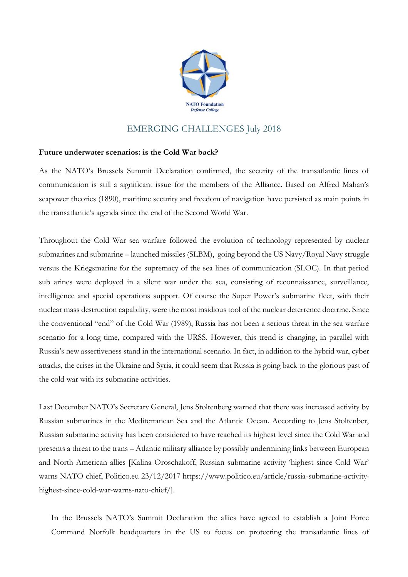

## EMERGING CHALLENGES July 2018

## **Future underwater scenarios: is the Cold War back?**

As the NATO's Brussels Summit Declaration confirmed, the security of the transatlantic lines of communication is still a significant issue for the members of the Alliance. Based on Alfred Mahan's seapower theories (1890), maritime security and freedom of navigation have persisted as main points in the transatlantic's agenda since the end of the Second World War.

Throughout the Cold War sea warfare followed the evolution of technology represented by nuclear submarines and submarine – launched missiles (SLBM), going beyond the US Navy/Royal Navy struggle versus the Kriegsmarine for the supremacy of the sea lines of communication (SLOC). In that period sub arines were deployed in a silent war under the sea, consisting of reconnaissance, surveillance, intelligence and special operations support. Of course the Super Power's submarine fleet, with their nuclear mass destruction capability, were the most insidious tool of the nuclear deterrence doctrine. Since the conventional "end" of the Cold War (1989), Russia has not been a serious threat in the sea warfare scenario for a long time, compared with the URSS. However, this trend is changing, in parallel with Russia's new assertiveness stand in the international scenario. In fact, in addition to the hybrid war, cyber attacks, the crises in the Ukraine and Syria, it could seem that Russia is going back to the glorious past of the cold war with its submarine activities.

Last December NATO's Secretary General, Jens Stoltenberg warned that there was increased activity by Russian submarines in the Mediterranean Sea and the Atlantic Ocean. According to Jens Stoltenber, Russian submarine activity has been considered to have reached its highest level since the Cold War and presents a threat to the trans – Atlantic military alliance by possibly undermining links between European and North American allies [Kalina Oroschakoff, Russian submarine activity 'highest since Cold War' warns NATO chief, Politico.eu 23/12/2017 https://www.politico.eu/article/russia-submarine-activityhighest-since-cold-war-warns-nato-chief/].

In the Brussels NATO's Summit Declaration the allies have agreed to establish a Joint Force Command Norfolk headquarters in the US to focus on protecting the transatlantic lines of